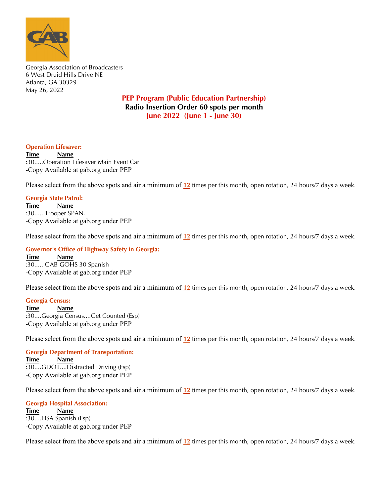

Georgia Association of Broadcasters 6 West Druid Hills Drive NE Atlanta, GA 30329 May 26, 2022

## **PEP Program (Public Education Partnership) Radio Insertion Order 60 spots per month June 2022 (June 1 - June 30)**

### **Operation Lifesaver:**

**Time Name** :30.....Operation Lifesaver Main Event Car -Copy Available at gab.org under PEP

Please select from the above spots and air a minimum of **12** times per this month, open rotation, 24 hours/7 days a week.

### **Georgia State Patrol:**

**Time Name** :30..... Trooper SPAN. -Copy Available at gab.org under PEP

Please select from the above spots and air a minimum of **12** times per this month, open rotation, 24 hours/7 days a week.

#### **Governor's Office of Highway Safety in Georgia:**

**Time Name** :30..... GAB GOHS 30 Spanish -Copy Available at gab.org under PEP

Radio spots are available for download at gab.org under the membership tab. Please select from the above spots and air a minimum of  $12$  times per this month, open rotation, 24 hours/7 days a week.

# **For additional information of the additional information of the additional information of the additional information of the additional information of the additional information of the additional information of the additio**

Luke Story: phone 770-395-7200 / fax 770-395-7235 / email lstory@gab.org :30....Georgia Census....Get Counted (Esp)<br>Computer and above address to the above address to the above address to the above address to the above address to the above address to the above address to the above address to th  $(\text{Esp})$ **Time Name** -Copy Available at gab.org under PEP

Radio spots are available for download at gab.org under the membership tab. Please select from the above spots and air a minimum of  $12$  times per this month, open rotation, 24 hours/7 days a week.

For additional information or questions please contact: **Georgia Department of Transportation:**<br>Times of Name **\*\*\*Please email affidavits at the end of the month to admin@gab.org or send by mail to the above address\*\*\*** -Copy Available at gab.org under PEP **Thank you so much for your support to the GAB! Time Name** :30....GDOT....Distracted Driving (Esp)

Radio spots are available for download at gab.org under the membership tab. Please select from the above spots and air a minimum of  $12$  times per this month, open rotation, 24 hours/7 days a week.

 $\theta$  additional information or  $\theta$  and  $\theta$  additions please contact: please contact: please contact:  $\theta$ **Georgia Hospital Association:**<br>Time 2000 *Maxwe* **\*\*\*Please email affidavits at the end of the month to admin@gab.org or send by mail to the above address\*\*\*** -Copy Available at gab.org under PEP **Time Name** :30....HSA Spanish (Esp)

Radio spots are available for download at gab.org under the membership tab. Please select from the above spots and air a minimum of  $12$  times per this month, open rotation, 24 hours/7 days a week.